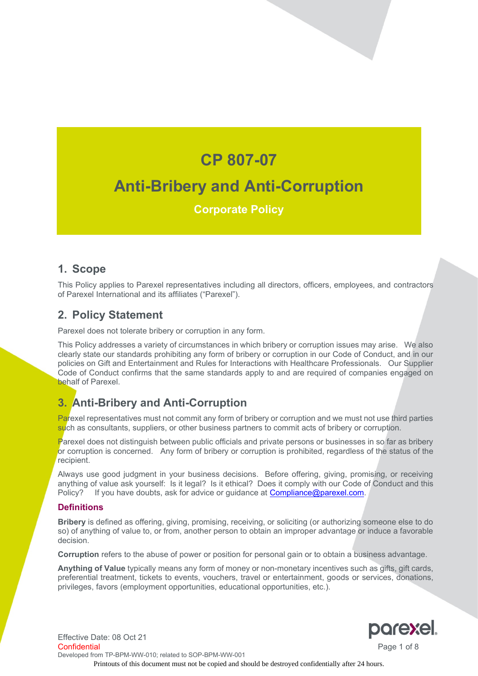# **CP 807-07 Anti-Bribery and Anti-Corruption**

## **Corporate Policy**

## **1. Scope**

This Policy applies to Parexel representatives including all directors, officers, employees, and contractors of Parexel International and its affiliates ("Parexel").

## **2. Policy Statement**

Parexel does not tolerate bribery or corruption in any form.

This Policy addresses a variety of circumstances in which bribery or corruption issues may arise. We also clearly state our standards prohibiting any form of bribery or corruption in our Code of Conduct, and in our policies on Gift and Entertainment and Rules for Interactions with Healthcare Professionals. Our Supplier Code of Conduct confirms that the same standards apply to and are required of companies engaged on behalf of Parexel.

## **3. Anti-Bribery and Anti-Corruption**

Parexel representatives must not commit any form of bribery or corruption and we must not use third parties such as consultants, suppliers, or other business partners to commit acts of bribery or corruption.

Parexel does not distinguish between public officials and private persons or businesses in so far as bribery or corruption is concerned. Any form of bribery or corruption is prohibited, regardless of the status of the recipient.

Always use good judgment in your business decisions. Before offering, giving, promising, or receiving anything of value ask yourself: Is it legal? Is it ethical? Does it comply with our Code of Conduct and this Policy? If you have doubts, ask for advice or guidance at [Compliance@parexel.com.](mailto:Compliance@parexel.com)

#### **Definitions**

**Bribery** is defined as offering, giving, promising, receiving, or soliciting (or authorizing someone else to do so) of anything of value to, or from, another person to obtain an improper advantage or induce a favorable decision.

**Corruption** refers to the abuse of power or position for personal gain or to obtain a business advantage.

**Anything of Value** typically means any form of money or non-monetary incentives such as gifts, gift cards, preferential treatment, tickets to events, vouchers, travel or entertainment, goods or services, donations, privileges, favors (employment opportunities, educational opportunities, etc.).



Effective Date: 08 Oct 21 Confidential Page 1 of 8 Developed from TP-BPM-WW-010; related to SOP-BPM-WW-001 Printouts of this document must not be copied and should be destroyed confidentially after 24 hours.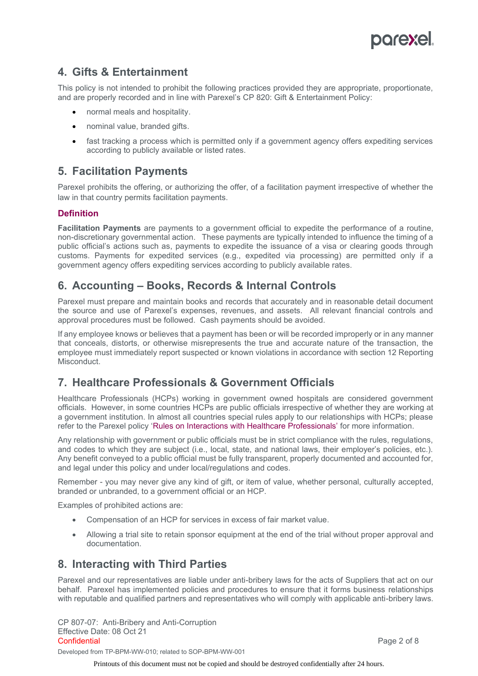

## **4. Gifts & Entertainment**

This policy is not intended to prohibit the following practices provided they are appropriate, proportionate, and are properly recorded and in line with Parexel's CP 820: Gift & Entertainment Policy:

- normal meals and hospitality.
- nominal value, branded gifts.
- fast tracking a process which is permitted only if a government agency offers expediting services according to publicly available or listed rates.

#### **5. Facilitation Payments**

Parexel prohibits the offering, or authorizing the offer, of a facilitation payment irrespective of whether the law in that country permits facilitation payments.

#### **Definition**

**Facilitation Payments** are payments to a government official to expedite the performance of a routine, non-discretionary governmental action. These payments are typically intended to influence the timing of a public official's actions such as, payments to expedite the issuance of a visa or clearing goods through customs. Payments for expedited services (e.g., expedited via processing) are permitted only if a government agency offers expediting services according to publicly available rates.

## **6. Accounting – Books, Records & Internal Controls**

Parexel must prepare and maintain books and records that accurately and in reasonable detail document the source and use of Parexel's expenses, revenues, and assets. All relevant financial controls and approval procedures must be followed. Cash payments should be avoided.

If any employee knows or believes that a payment has been or will be recorded improperly or in any manner that conceals, distorts, or otherwise misrepresents the true and accurate nature of the transaction, the employee must immediately report suspected or known violations in accordance with section 12 Reporting Misconduct.

## **7. Healthcare Professionals & Government Officials**

Healthcare Professionals (HCPs) working in government owned hospitals are considered government officials. However, in some countries HCPs are public officials irrespective of whether they are working at a government institution. In almost all countries special rules apply to our relationships with HCPs; please refer to the Parexel policy 'Rules on Interactions with Healthcare Professionals' for more information.

Any relationship with government or public officials must be in strict compliance with the rules, regulations, and codes to which they are subject (i.e., local, state, and national laws, their employer's policies, etc.). Any benefit conveyed to a public official must be fully transparent, properly documented and accounted for, and legal under this policy and under local/regulations and codes.

Remember - you may never give any kind of gift, or item of value, whether personal, culturally accepted, branded or unbranded, to a government official or an HCP.

Examples of prohibited actions are:

- Compensation of an HCP for services in excess of fair market value.
- Allowing a trial site to retain sponsor equipment at the end of the trial without proper approval and documentation.

## **8. Interacting with Third Parties**

Parexel and our representatives are liable under anti-bribery laws for the acts of Suppliers that act on our behalf. Parexel has implemented policies and procedures to ensure that it forms business relationships with reputable and qualified partners and representatives who will comply with applicable anti-bribery laws.

CP 807-07: Anti-Bribery and Anti-Corruption Effective Date: 08 Oct 21 Confidential Page 2 of 8 Developed from TP-BPM-WW-010; related to SOP-BPM-WW-001

Printouts of this document must not be copied and should be destroyed confidentially after 24 hours.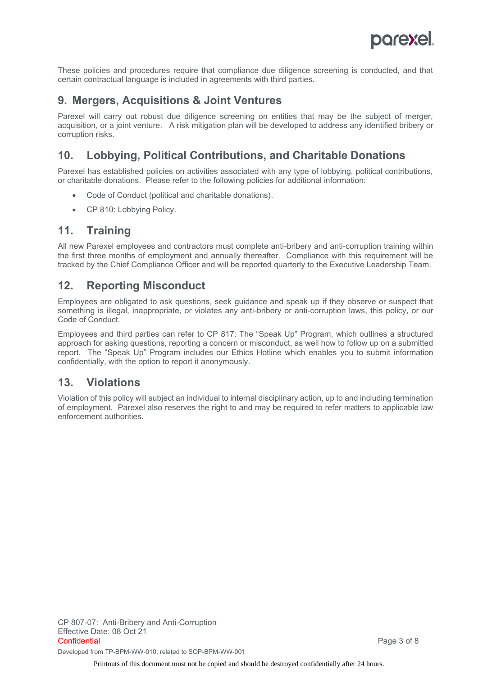

These policies and procedures require that compliance due diligence screening is conducted, and that certain contractual language is included in agreements with third parties.

### **9. Mergers, Acquisitions & Joint Ventures**

Parexel will carry out robust due diligence screening on entities that may be the subject of merger, acquisition, or a joint venture. A risk mitigation plan will be developed to address any identified bribery or corruption risks.

## **10. Lobbying, Political Contributions, and Charitable Donations**

Parexel has established policies on activities associated with any type of lobbying, political contributions, or charitable donations. Please refer to the following policies for additional information:

- Code of Conduct (political and charitable donations).
- CP 810: Lobbying Policy.

#### **11. Training**

All new Parexel employees and contractors must complete anti-bribery and anti-corruption training within the first three months of employment and annually thereafter. Compliance with this requirement will be tracked by the Chief Compliance Officer and will be reported quarterly to the Executive Leadership Team.

## **12. Reporting Misconduct**

Employees are obligated to ask questions, seek guidance and speak up if they observe or suspect that something is illegal, inappropriate, or violates any anti-bribery or anti-corruption laws, this policy, or our Code of Conduct.

Employees and third parties can refer to CP 817: The "Speak Up" Program, which outlines a structured approach for asking questions, reporting a concern or misconduct, as well how to follow up on a submitted report. The "Speak Up" Program includes our Ethics Hotline which enables you to submit information confidentially, with the option to report it anonymously.

## **13. Violations**

Violation of this policy will subject an individual to internal disciplinary action, up to and including termination of employment. Parexel also reserves the right to and may be required to refer matters to applicable law enforcement authorities.

Printouts of this document must not be copied and should be destroyed confidentially after 24 hours.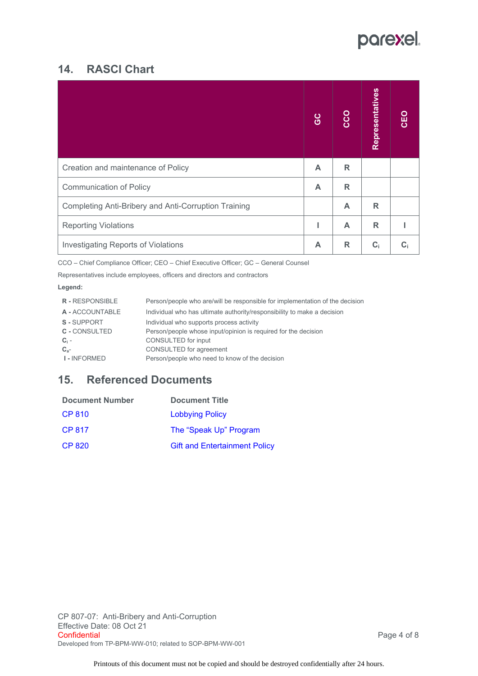# parexel.

## **14. RASCI Chart**

|                                                      | <b>GC</b> | CCO | Representatives | CEO |
|------------------------------------------------------|-----------|-----|-----------------|-----|
| Creation and maintenance of Policy                   | A         | R   |                 |     |
| <b>Communication of Policy</b>                       | A         | R   |                 |     |
| Completing Anti-Bribery and Anti-Corruption Training |           | A   | R               |     |
| <b>Reporting Violations</b>                          |           | A   | R               |     |
| <b>Investigating Reports of Violations</b>           | A         | R   | $C_i$           | C:  |

CCO – Chief Compliance Officer; CEO – Chief Executive Officer; GC – General Counsel

Representatives include employees, officers and directors and contractors

#### **Legend:**

| <b>R</b> - RESPONSIBLE | Person/people who are/will be responsible for implementation of the decision |
|------------------------|------------------------------------------------------------------------------|
| A - ACCOUNTABLE        | Individual who has ultimate authority/responsibility to make a decision      |
| S-SUPPORT              | Individual who supports process activity                                     |
| <b>C</b> - CONSULTED   | Person/people whose input/opinion is required for the decision               |
| $C_i$ -                | CONSULTED for input                                                          |
| $C_{a}$ -              | CONSULTED for agreement                                                      |
| <b>I-INFORMED</b>      | Person/people who need to know of the decision                               |
|                        |                                                                              |

## **15. Referenced Documents**

| <b>Document Number</b> | <b>Document Title</b>                |
|------------------------|--------------------------------------|
| <b>CP 810</b>          | <b>Lobbying Policy</b>               |
| CP 817                 | The "Speak Up" Program               |
| CP 820                 | <b>Gift and Entertainment Policy</b> |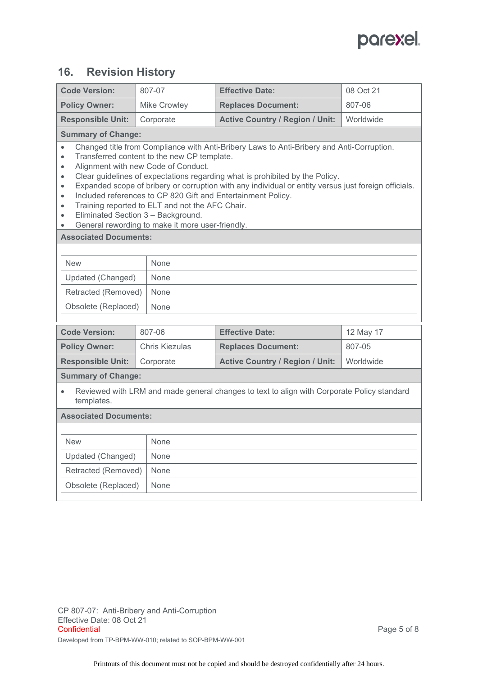

## **16. Revision History**

| <b>Code Version:</b>                                                                                                                  | 807-07                                                                                                                                                                                                                                                                                                                                                                                                                                                                                                                                                                               | <b>Effective Date:</b>                 | 08 Oct 21 |  |
|---------------------------------------------------------------------------------------------------------------------------------------|--------------------------------------------------------------------------------------------------------------------------------------------------------------------------------------------------------------------------------------------------------------------------------------------------------------------------------------------------------------------------------------------------------------------------------------------------------------------------------------------------------------------------------------------------------------------------------------|----------------------------------------|-----------|--|
| <b>Policy Owner:</b>                                                                                                                  | Mike Crowley                                                                                                                                                                                                                                                                                                                                                                                                                                                                                                                                                                         | <b>Replaces Document:</b>              | 807-06    |  |
| <b>Responsible Unit:</b>                                                                                                              | Corporate                                                                                                                                                                                                                                                                                                                                                                                                                                                                                                                                                                            | <b>Active Country / Region / Unit:</b> | Worldwide |  |
| <b>Summary of Change:</b>                                                                                                             |                                                                                                                                                                                                                                                                                                                                                                                                                                                                                                                                                                                      |                                        |           |  |
| $\bullet$<br>$\bullet$<br>$\bullet$<br>$\bullet$<br>$\bullet$<br>$\bullet$<br>$\bullet$<br><b>Associated Documents:</b>               | Changed title from Compliance with Anti-Bribery Laws to Anti-Bribery and Anti-Corruption.<br>Transferred content to the new CP template.<br>Alignment with new Code of Conduct.<br>Clear guidelines of expectations regarding what is prohibited by the Policy.<br>Expanded scope of bribery or corruption with any individual or entity versus just foreign officials.<br>Included references to CP 820 Gift and Entertainment Policy.<br>Training reported to ELT and not the AFC Chair.<br>Eliminated Section 3 - Background.<br>General rewording to make it more user-friendly. |                                        |           |  |
|                                                                                                                                       |                                                                                                                                                                                                                                                                                                                                                                                                                                                                                                                                                                                      |                                        |           |  |
| <b>New</b>                                                                                                                            | None                                                                                                                                                                                                                                                                                                                                                                                                                                                                                                                                                                                 |                                        |           |  |
| Updated (Changed)                                                                                                                     | None                                                                                                                                                                                                                                                                                                                                                                                                                                                                                                                                                                                 |                                        |           |  |
| Retracted (Removed)                                                                                                                   | None                                                                                                                                                                                                                                                                                                                                                                                                                                                                                                                                                                                 |                                        |           |  |
| Obsolete (Replaced)                                                                                                                   | None                                                                                                                                                                                                                                                                                                                                                                                                                                                                                                                                                                                 |                                        |           |  |
|                                                                                                                                       |                                                                                                                                                                                                                                                                                                                                                                                                                                                                                                                                                                                      |                                        |           |  |
| <b>Code Version:</b>                                                                                                                  | 807-06                                                                                                                                                                                                                                                                                                                                                                                                                                                                                                                                                                               | <b>Effective Date:</b>                 | 12 May 17 |  |
| <b>Policy Owner:</b>                                                                                                                  | <b>Chris Kiezulas</b>                                                                                                                                                                                                                                                                                                                                                                                                                                                                                                                                                                | <b>Replaces Document:</b>              | 807-05    |  |
| <b>Responsible Unit:</b>                                                                                                              | Corporate                                                                                                                                                                                                                                                                                                                                                                                                                                                                                                                                                                            | <b>Active Country / Region / Unit:</b> | Worldwide |  |
| <b>Summary of Change:</b><br>Reviewed with LRM and made general changes to text to align with Corporate Policy standard<br>templates. |                                                                                                                                                                                                                                                                                                                                                                                                                                                                                                                                                                                      |                                        |           |  |
| <b>Associated Documents:</b>                                                                                                          |                                                                                                                                                                                                                                                                                                                                                                                                                                                                                                                                                                                      |                                        |           |  |
|                                                                                                                                       |                                                                                                                                                                                                                                                                                                                                                                                                                                                                                                                                                                                      |                                        |           |  |
| <b>New</b>                                                                                                                            | None                                                                                                                                                                                                                                                                                                                                                                                                                                                                                                                                                                                 |                                        |           |  |
| Updated (Changed)                                                                                                                     | None                                                                                                                                                                                                                                                                                                                                                                                                                                                                                                                                                                                 |                                        |           |  |
| Retracted (Removed)                                                                                                                   | None                                                                                                                                                                                                                                                                                                                                                                                                                                                                                                                                                                                 |                                        |           |  |
| Obsolete (Replaced)                                                                                                                   | None                                                                                                                                                                                                                                                                                                                                                                                                                                                                                                                                                                                 |                                        |           |  |
|                                                                                                                                       |                                                                                                                                                                                                                                                                                                                                                                                                                                                                                                                                                                                      |                                        |           |  |

CP 807-07: Anti-Bribery and Anti-Corruption Effective Date: 08 Oct 21<br>Confidential Developed from TP-BPM-WW-010; related to SOP-BPM-WW-001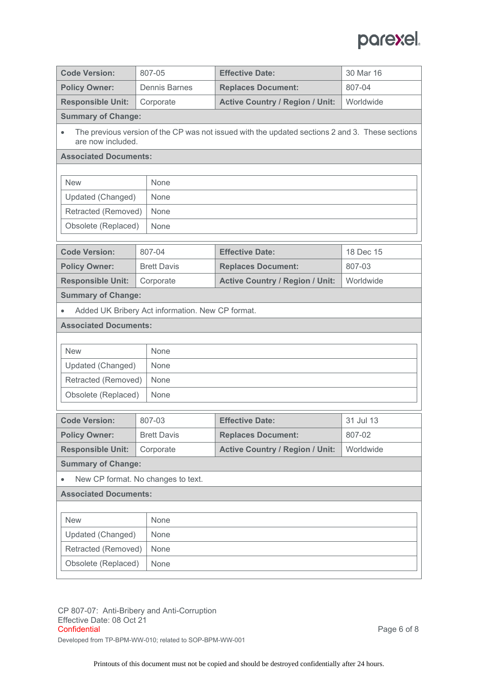

| <b>Code Version:</b>                       | 807-05                                           | <b>Effective Date:</b>                                                                          | 30 Mar 16 |
|--------------------------------------------|--------------------------------------------------|-------------------------------------------------------------------------------------------------|-----------|
| <b>Policy Owner:</b>                       | <b>Dennis Barnes</b>                             | <b>Replaces Document:</b>                                                                       | 807-04    |
| <b>Responsible Unit:</b>                   | Corporate                                        | <b>Active Country / Region / Unit:</b>                                                          | Worldwide |
| <b>Summary of Change:</b>                  |                                                  |                                                                                                 |           |
| are now included.                          |                                                  | The previous version of the CP was not issued with the updated sections 2 and 3. These sections |           |
| <b>Associated Documents:</b>               |                                                  |                                                                                                 |           |
|                                            |                                                  |                                                                                                 |           |
| <b>New</b>                                 | None                                             |                                                                                                 |           |
| Updated (Changed)                          | None                                             |                                                                                                 |           |
| Retracted (Removed)                        | None                                             |                                                                                                 |           |
| Obsolete (Replaced)                        | None                                             |                                                                                                 |           |
| <b>Code Version:</b>                       | 807-04                                           | <b>Effective Date:</b>                                                                          | 18 Dec 15 |
| <b>Policy Owner:</b>                       | <b>Brett Davis</b>                               | <b>Replaces Document:</b>                                                                       | 807-03    |
| <b>Responsible Unit:</b>                   | Corporate                                        | <b>Active Country / Region / Unit:</b>                                                          | Worldwide |
| <b>Summary of Change:</b>                  |                                                  |                                                                                                 |           |
|                                            | Added UK Bribery Act information. New CP format. |                                                                                                 |           |
| <b>Associated Documents:</b>               |                                                  |                                                                                                 |           |
|                                            |                                                  |                                                                                                 |           |
| <b>New</b>                                 | None                                             |                                                                                                 |           |
| Updated (Changed)                          | None                                             |                                                                                                 |           |
| Retracted (Removed)                        | None                                             |                                                                                                 |           |
| Obsolete (Replaced)                        | None                                             |                                                                                                 |           |
|                                            |                                                  |                                                                                                 |           |
| <b>Code Version:</b>                       | 807-03                                           | <b>Effective Date:</b>                                                                          | 31 Jul 13 |
| <b>Policy Owner:</b>                       | <b>Brett Davis</b>                               | <b>Replaces Document:</b>                                                                       | 807-02    |
| <b>Responsible Unit:</b>                   | Corporate                                        | <b>Active Country / Region / Unit:</b>                                                          | Worldwide |
| <b>Summary of Change:</b>                  |                                                  |                                                                                                 |           |
|                                            | New CP format. No changes to text.               |                                                                                                 |           |
| <b>Associated Documents:</b>               |                                                  |                                                                                                 |           |
|                                            |                                                  |                                                                                                 |           |
| <b>New</b>                                 | None                                             |                                                                                                 |           |
| Updated (Changed)                          | None<br>None                                     |                                                                                                 |           |
| Retracted (Removed)<br>Obsolete (Replaced) | None                                             |                                                                                                 |           |
|                                            |                                                  |                                                                                                 |           |
|                                            |                                                  |                                                                                                 |           |

CP 807-07: Anti-Bribery and Anti-Corruption Effective Date: 08 Oct 21<br>Confidential Developed from TP-BPM-WW-010; related to SOP-BPM-WW-001

Page 6 of 8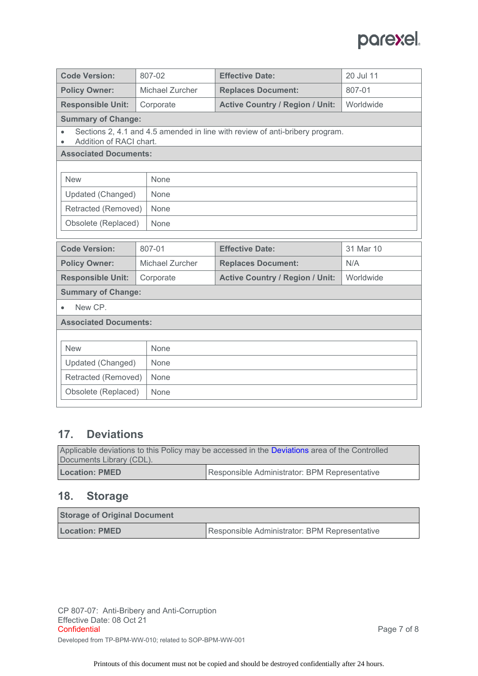

| <b>Code Version:</b>                                                                                    | 807-02          | <b>Effective Date:</b>                 | 20 Jul 11 |  |
|---------------------------------------------------------------------------------------------------------|-----------------|----------------------------------------|-----------|--|
| <b>Policy Owner:</b>                                                                                    | Michael Zurcher | <b>Replaces Document:</b>              | 807-01    |  |
| <b>Responsible Unit:</b>                                                                                | Corporate       | <b>Active Country / Region / Unit:</b> | Worldwide |  |
| <b>Summary of Change:</b>                                                                               |                 |                                        |           |  |
| Sections 2, 4.1 and 4.5 amended in line with review of anti-bribery program.<br>Addition of RACI chart. |                 |                                        |           |  |
| <b>Associated Documents:</b>                                                                            |                 |                                        |           |  |
|                                                                                                         |                 |                                        |           |  |
| <b>New</b>                                                                                              | None            |                                        |           |  |
| Updated (Changed)                                                                                       | None            |                                        |           |  |
| Retracted (Removed)                                                                                     | None            |                                        |           |  |
| Obsolete (Replaced)                                                                                     | None            |                                        |           |  |
|                                                                                                         |                 |                                        |           |  |
| <b>Code Version:</b>                                                                                    | 807-01          | <b>Effective Date:</b>                 | 31 Mar 10 |  |
| <b>Policy Owner:</b>                                                                                    | Michael Zurcher | <b>Replaces Document:</b>              | N/A       |  |
| <b>Responsible Unit:</b>                                                                                | Corporate       | <b>Active Country / Region / Unit:</b> | Worldwide |  |
| <b>Summary of Change:</b>                                                                               |                 |                                        |           |  |
| New CP.                                                                                                 |                 |                                        |           |  |
| <b>Associated Documents:</b>                                                                            |                 |                                        |           |  |
|                                                                                                         |                 |                                        |           |  |
| <b>New</b>                                                                                              | None            |                                        |           |  |
| Updated (Changed)                                                                                       | None            |                                        |           |  |
| Retracted (Removed)                                                                                     | None            |                                        |           |  |
| Obsolete (Replaced)                                                                                     | None            |                                        |           |  |
|                                                                                                         |                 |                                        |           |  |

## **17. Deviations**

| Applicable deviations to this Policy may be accessed in the Deviations area of the Controlled<br>Documents Library (CDL). |                                               |  |
|---------------------------------------------------------------------------------------------------------------------------|-----------------------------------------------|--|
| <b>Location: PMED</b>                                                                                                     | Responsible Administrator: BPM Representative |  |

# **18. Storage**

| <b>Storage of Original Document</b> |                                               |
|-------------------------------------|-----------------------------------------------|
| <b>Location: PMED</b>               | Responsible Administrator: BPM Representative |

CP 807-07: Anti-Bribery and Anti-Corruption Effective Date: 08 Oct 21<br>Confidential Developed from TP-BPM-WW-010; related to SOP-BPM-WW-001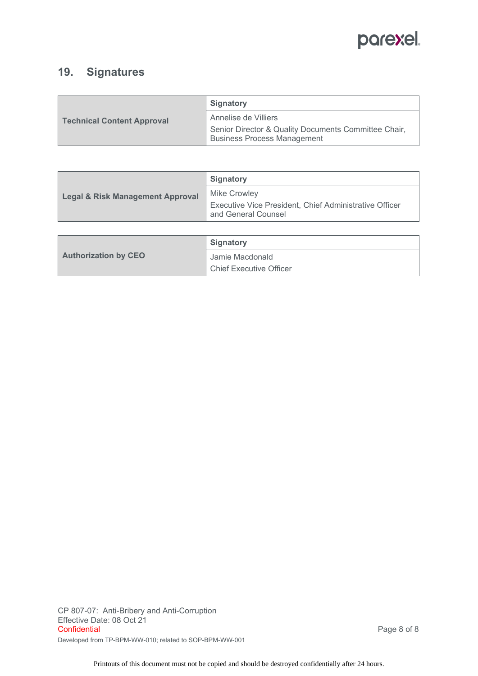

## **19. Signatures**

|                                   | Signatory                                                                    |
|-----------------------------------|------------------------------------------------------------------------------|
| <b>Technical Content Approval</b> | Annelise de Villiers<br>Senior Director & Quality Documents Committee Chair, |
|                                   | <b>Business Process Management</b>                                           |

| <b>Legal &amp; Risk Management Approval</b> | <b>Signatory</b>                                                              |
|---------------------------------------------|-------------------------------------------------------------------------------|
|                                             | <b>Mike Crowley</b>                                                           |
|                                             | Executive Vice President, Chief Administrative Officer<br>and General Counsel |

|                             | Signatory                      |
|-----------------------------|--------------------------------|
| <b>Authorization by CEO</b> | Jamie Macdonald                |
|                             | <b>Chief Executive Officer</b> |